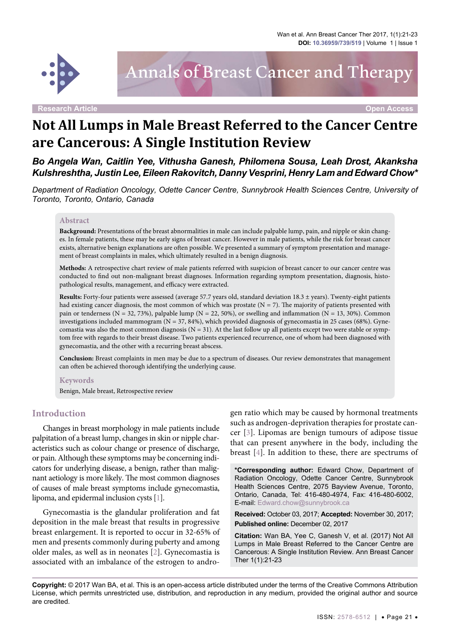

# Annals of Breast Cancer and Therapy

**Research Article Open Access**

# **Not All Lumps in Male Breast Referred to the Cancer Centre are Cancerous: A Single Institution Review**

*Bo Angela Wan, Caitlin Yee, Vithusha Ganesh, Philomena Sousa, Leah Drost, Akanksha Kulshreshtha, Justin Lee, Eileen Rakovitch, Danny Vesprini, Henry Lam and Edward Chow\**

*Department of Radiation Oncology, Odette Cancer Centre, Sunnybrook Health Sciences Centre, University of Toronto, Toronto, Ontario, Canada*

#### **Abstract**

**Background:** Presentations of the breast abnormalities in male can include palpable lump, pain, and nipple or skin changes. In female patients, these may be early signs of breast cancer. However in male patients, while the risk for breast cancer exists, alternative benign explanations are often possible. We presented a summary of symptom presentation and management of breast complaints in males, which ultimately resulted in a benign diagnosis.

**Methods:** A retrospective chart review of male patients referred with suspicion of breast cancer to our cancer centre was conducted to find out non-malignant breast diagnoses. Information regarding symptom presentation, diagnosis, histopathological results, management, and efficacy were extracted.

**Results:** Forty-four patients were assessed (average 57.7 years old, standard deviation 18.3 ± years). Twenty-eight patients had existing cancer diagnosis, the most common of which was prostate  $(N = 7)$ . The majority of patients presented with pain or tenderness (N = 32, 73%), palpable lump (N = 22, 50%), or swelling and inflammation (N = 13, 30%). Common investigations included mammogram  $(N = 37, 84%)$ , which provided diagnosis of gynecomastia in 25 cases (68%). Gynecomastia was also the most common diagnosis ( $N = 31$ ). At the last follow up all patients except two were stable or symptom free with regards to their breast disease. Two patients experienced recurrence, one of whom had been diagnosed with gynecomastia, and the other with a recurring breast abscess.

**Conclusion:** Breast complaints in men may be due to a spectrum of diseases. Our review demonstrates that management can often be achieved thorough identifying the underlying cause.

#### **Keywords**

Benign, Male breast, Retrospective review

#### **Introduction**

Changes in breast morphology in male patients include palpitation of a breast lump, changes in skin or nipple characteristics such as colour change or presence of discharge, or pain. Although these symptoms may be concerning indicators for underlying disease, a benign, rather than malignant aetiology is more likely. The most common diagnoses of causes of male breast symptoms include gynecomastia, lipoma, and epidermal inclusion cysts [\[1\]](#page-2-0).

Gynecomastia is the glandular proliferation and fat deposition in the male breast that results in progressive breast enlargement. It is reported to occur in 32-65% of men and presents commonly during puberty and among older males, as well as in neonates [[2](#page-2-1)]. Gynecomastia is associated with an imbalance of the estrogen to androgen ratio which may be caused by hormonal treatments such as androgen-deprivation therapies for prostate cancer [[3](#page-2-2)]. Lipomas are benign tumours of adipose tissue that can present anywhere in the body, including the breast [[4](#page-2-3)]. In addition to these, there are spectrums of

**\*Corresponding author:** Edward Chow, Department of Radiation Oncology, Odette Cancer Centre, Sunnybrook Health Sciences Centre, 2075 Bayview Avenue, Toronto, Ontario, Canada, Tel: 416-480-4974, Fax: 416-480-6002, E-mail: Edward.chow@sunnybrook.ca

**Received:** October 03, 2017; **Accepted:** November 30, 2017; **Published online:** December 02, 2017

**Citation:** Wan BA, Yee C, Ganesh V, et al. (2017) Not All Lumps in Male Breast Referred to the Cancer Centre are Cancerous: A Single Institution Review. Ann Breast Cancer Ther 1(1):21-23

**Copyright:** © 2017 Wan BA, et al. This is an open-access article distributed under the terms of the Creative Commons Attribution License, which permits unrestricted use, distribution, and reproduction in any medium, provided the original author and source are credited.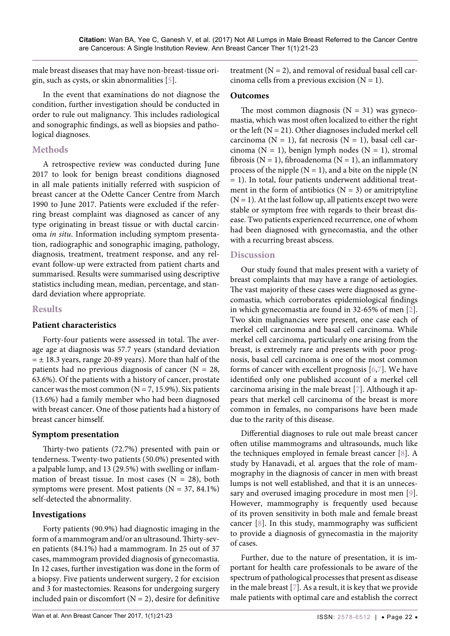male breast diseases that may have non-breast-tissue origin, such as cysts, or skin abnormalities [\[5](#page-2-4)].

In the event that examinations do not diagnose the condition, further investigation should be conducted in order to rule out malignancy. This includes radiological and sonographic findings, as well as biopsies and pathological diagnoses.

# **Methods**

A retrospective review was conducted during June 2017 to look for benign breast conditions diagnosed in all male patients initially referred with suspicion of breast cancer at the Odette Cancer Centre from March 1990 to June 2017. Patients were excluded if the referring breast complaint was diagnosed as cancer of any type originating in breast tissue or with ductal carcinoma *in situ*. Information including symptom presentation, radiographic and sonographic imaging, pathology, diagnosis, treatment, treatment response, and any relevant follow-up were extracted from patient charts and summarised. Results were summarised using descriptive statistics including mean, median, percentage, and standard deviation where appropriate.

### **Results**

### **Patient characteristics**

Forty-four patients were assessed in total. The average age at diagnosis was 57.7 years (standard deviation  $= \pm 18.3$  years, range 20-89 years). More than half of the patients had no previous diagnosis of cancer  $(N = 28,$ 63.6%). Of the patients with a history of cancer, prostate cancer was the most common ( $N = 7$ , 15.9%). Six patients (13.6%) had a family member who had been diagnosed with breast cancer. One of those patients had a history of breast cancer himself.

### **Symptom presentation**

Thirty-two patients (72.7%) presented with pain or tenderness. Twenty-two patients (50.0%) presented with a palpable lump, and 13 (29.5%) with swelling or inflammation of breast tissue. In most cases ( $N = 28$ ), both symptoms were present. Most patients ( $N = 37, 84.1\%$ ) self-detected the abnormality.

### **Investigations**

Forty patients (90.9%) had diagnostic imaging in the form of a mammogram and/or an ultrasound. Thirty-seven patients (84.1%) had a mammogram. In 25 out of 37 cases, mammogram provided diagnosis of gynecomastia. In 12 cases, further investigation was done in the form of a biopsy. Five patients underwent surgery, 2 for excision and 3 for mastectomies. Reasons for undergoing surgery included pain or discomfort ( $N = 2$ ), desire for definitive treatment  $(N = 2)$ , and removal of residual basal cell carcinoma cells from a previous excision  $(N = 1)$ .

## **Outcomes**

The most common diagnosis  $(N = 31)$  was gynecomastia, which was most often localized to either the right or the left  $(N = 21)$ . Other diagnoses included merkel cell carcinoma ( $N = 1$ ), fat necrosis ( $N = 1$ ), basal cell carcinoma ( $N = 1$ ), benign lymph nodes ( $N = 1$ ), stromal fibrosis ( $N = 1$ ), fibroadenoma ( $N = 1$ ), an inflammatory process of the nipple  $(N = 1)$ , and a bite on the nipple  $(N = 1)$ = 1). In total, four patients underwent additional treatment in the form of antibiotics  $(N = 3)$  or amitriptyline  $(N = 1)$ . At the last follow up, all patients except two were stable or symptom free with regards to their breast disease. Two patients experienced recurrence, one of whom had been diagnosed with gynecomastia, and the other with a recurring breast abscess.

### **Discussion**

Our study found that males present with a variety of breast complaints that may have a range of aetiologies. The vast majority of these cases were diagnosed as gynecomastia, which corroborates epidemiological findings in which gynecomastia are found in 32-65% of men [\[2](#page-2-1)]. Two skin malignancies were present, one case each of merkel cell carcinoma and basal cell carcinoma. While merkel cell carcinoma, particularly one arising from the breast, is extremely rare and presents with poor prognosis, basal cell carcinoma is one of the most common forms of cancer with excellent prognosis [[6](#page-2-5)[,7\]](#page-2-6). We have identified only one published account of a merkel cell carcinoma arising in the male breast [[7](#page-2-6)]. Although it appears that merkel cell carcinoma of the breast is more common in females, no comparisons have been made due to the rarity of this disease.

Differential diagnoses to rule out male breast cancer often utilise mammograms and ultrasounds, much like the techniques employed in female breast cancer [\[8\]](#page-2-7). A study by Hanavadi, et al. argues that the role of mammography in the diagnosis of cancer in men with breast lumps is not well established, and that it is an unnecessary and overused imaging procedure in most men [\[9](#page-2-8)]. However, mammography is frequently used because of its proven sensitivity in both male and female breast cancer [\[8](#page-2-7)]. In this study, mammography was sufficient to provide a diagnosis of gynecomastia in the majority of cases.

Further, due to the nature of presentation, it is important for health care professionals to be aware of the spectrum of pathological processes that present as disease in the male breast [\[7\]](#page-2-6). As a result, it is key that we provide male patients with optimal care and establish the correct